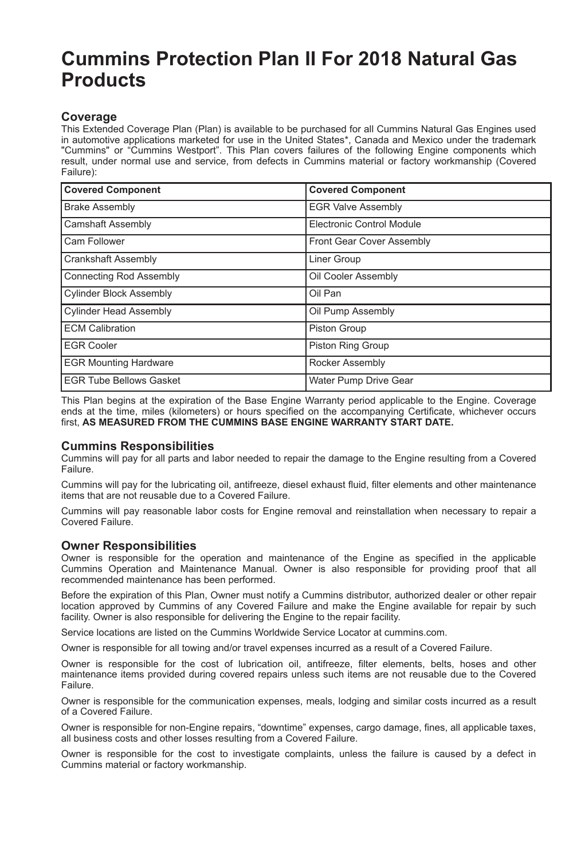# **Cummins Protection Plan II For 2018 Natural Gas Products**

## **Coverage**

This Extended Coverage Plan (Plan) is available to be purchased for all Cummins Natural Gas Engines used in automotive applications marketed for use in the United States\*, Canada and Mexico under the trademark "Cummins" or "Cummins Westport". This Plan covers failures of the following Engine components which result, under normal use and service, from defects in Cummins material or factory workmanship (Covered Failure):

| <b>Covered Component</b>       | <b>Covered Component</b>         |
|--------------------------------|----------------------------------|
| <b>Brake Assembly</b>          | <b>EGR Valve Assembly</b>        |
| Camshaft Assembly              | <b>Electronic Control Module</b> |
| Cam Follower                   | Front Gear Cover Assembly        |
| <b>Crankshaft Assembly</b>     | Liner Group                      |
| <b>Connecting Rod Assembly</b> | Oil Cooler Assembly              |
| <b>Cylinder Block Assembly</b> | Oil Pan                          |
| <b>Cylinder Head Assembly</b>  | Oil Pump Assembly                |
| <b>ECM Calibration</b>         | Piston Group                     |
| <b>EGR Cooler</b>              | Piston Ring Group                |
| <b>EGR Mounting Hardware</b>   | Rocker Assembly                  |
| <b>EGR Tube Bellows Gasket</b> | Water Pump Drive Gear            |

This Plan begins at the expiration of the Base Engine Warranty period applicable to the Engine. Coverage ends at the time, miles (kilometers) or hours specified on the accompanying Certificate, whichever occurs first, **AS MEASURED FROM THE CUMMINS BASE ENGINE WARRANTY START DATE.**

#### **Cummins Responsibilities**

Cummins will pay for all parts and labor needed to repair the damage to the Engine resulting from a Covered Failure.

Cummins will pay for the lubricating oil, antifreeze, diesel exhaust fluid, filter elements and other maintenance items that are not reusable due to a Covered Failure.

Cummins will pay reasonable labor costs for Engine removal and reinstallation when necessary to repair a Covered Failure.

#### **Owner Responsibilities**

Owner is responsible for the operation and maintenance of the Engine as specified in the applicable Cummins Operation and Maintenance Manual. Owner is also responsible for providing proof that all recommended maintenance has been performed.

Before the expiration of this Plan, Owner must notify a Cummins distributor, authorized dealer or other repair location approved by Cummins of any Covered Failure and make the Engine available for repair by such facility. Owner is also responsible for delivering the Engine to the repair facility.

Service locations are listed on the Cummins Worldwide Service Locator at cummins.com.

Owner is responsible for all towing and/or travel expenses incurred as a result of a Covered Failure.

Owner is responsible for the cost of lubrication oil, antifreeze, filter elements, belts, hoses and other maintenance items provided during covered repairs unless such items are not reusable due to the Covered Failure.

Owner is responsible for the communication expenses, meals, lodging and similar costs incurred as a result of a Covered Failure.

Owner is responsible for non-Engine repairs, "downtime" expenses, cargo damage, fines, all applicable taxes, all business costs and other losses resulting from a Covered Failure.

Owner is responsible for the cost to investigate complaints, unless the failure is caused by a defect in Cummins material or factory workmanship.